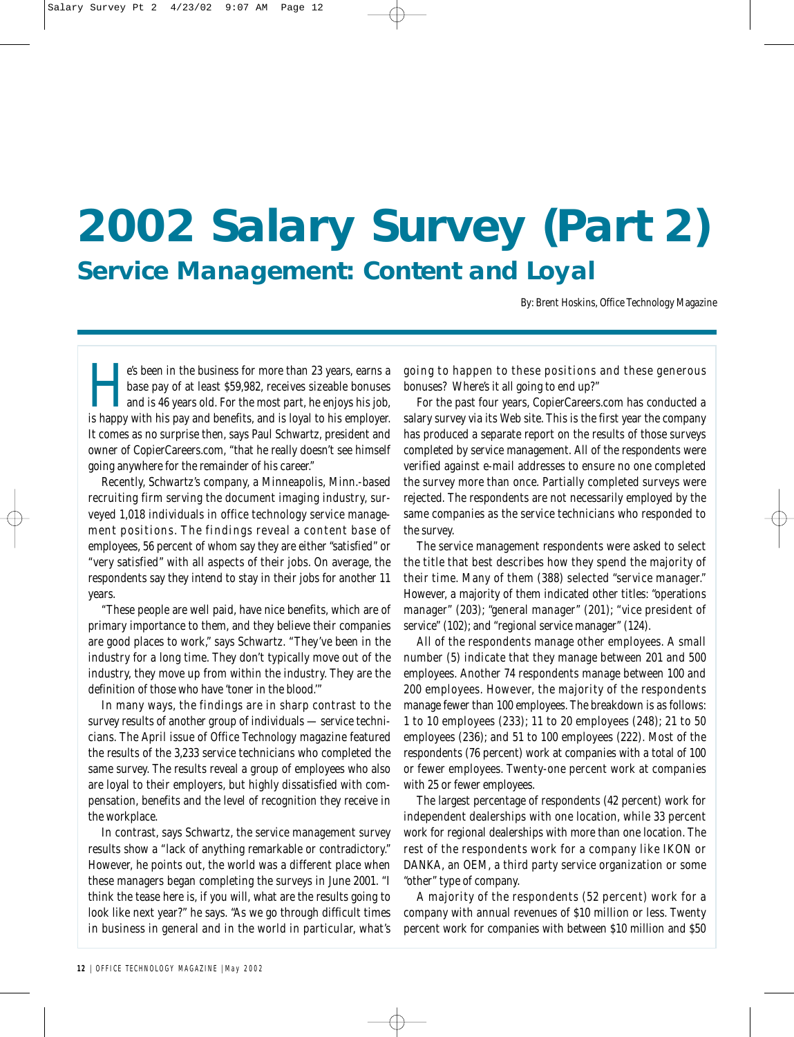# **2002 Salary Survey (Part 2) Service Management: Content and Loyal**

By: Brent Hoskins, Office Technology Magazine

e's been in the business for more than 23 years, earns a base pay of at least \$59,982, receives sizeable bonuses and is 46 years old. For the most part, he enjoys his job, is happy with his pay and benefits, and is loyal to his employer. It comes as no surprise then, says Paul Schwartz, president and owner of CopierCareers.com, "that he really doesn't see himself going anywhere for the remainder of his career."

Recently, Schwartz's company, a Minneapolis, Minn.-based recruiting firm serving the document imaging industry, surveyed 1,018 individuals in office technology service management positions. The findings reveal a content base of employees, 56 percent of whom say they are either "satisfied" or "very satisfied" with all aspects of their jobs. On average, the respondents say they intend to stay in their jobs for another 11 years.

"These people are well paid, have nice benefits, which are of primary importance to them, and they believe their companies are good places to work," says Schwartz. "They've been in the industry for a long time. They don't typically move out of the industry, they move up from within the industry. They are the definition of those who have 'toner in the blood.'"

In many ways, the findings are in sharp contrast to the survey results of another group of individuals — service technicians. The April issue of *Office Technology* magazine featured the results of the 3,233 service technicians who completed the same survey. The results reveal a group of employees who also are loyal to their employers, but highly dissatisfied with compensation, benefits and the level of recognition they receive in the workplace.

In contrast, says Schwartz, the service management survey results show a "lack of anything remarkable or contradictory." However, he points out, the world was a different place when these managers began completing the surveys in June 2001. "I think the tease here is, if you will, what are the results going to look like next year?" he says. "As we go through difficult times in business in general and in the world in particular, what's going to happen to these positions and these generous bonuses? Where's it all going to end up?"

For the past four years, CopierCareers.com has conducted a salary survey via its Web site. This is the first year the company has produced a separate report on the results of those surveys completed by service management. All of the respondents were verified against e-mail addresses to ensure no one completed the survey more than once. Partially completed surveys were rejected. The respondents are not necessarily employed by the same companies as the service technicians who responded to the survey.

The service management respondents were asked to select the title that best describes how they spend the majority of their time. Many of them (388) selected "service manager." However, a majority of them indicated other titles: "operations manager" (203); "general manager" (201); "vice president of service" (102); and "regional service manager" (124).

All of the respondents manage other employees. A small number (5) indicate that they manage between 201 and 500 employees. Another 74 respondents manage between 100 and 200 employees. However, the majority of the respondents manage fewer than 100 employees. The breakdown is as follows: 1 to 10 employees (233); 11 to 20 employees (248); 21 to 50 employees (236); and 51 to 100 employees (222). Most of the respondents (76 percent) work at companies with a total of 100 or fewer employees. Twenty-one percent work at companies with 25 or fewer employees.

The largest percentage of respondents (42 percent) work for independent dealerships with one location, while 33 percent work for regional dealerships with more than one location. The rest of the respondents work for a company like IKON or DANKA, an OEM, a third party service organization or some "other" type of company.

A majority of the respondents (52 percent) work for a company with annual revenues of \$10 million or less. Twenty percent work for companies with between \$10 million and \$50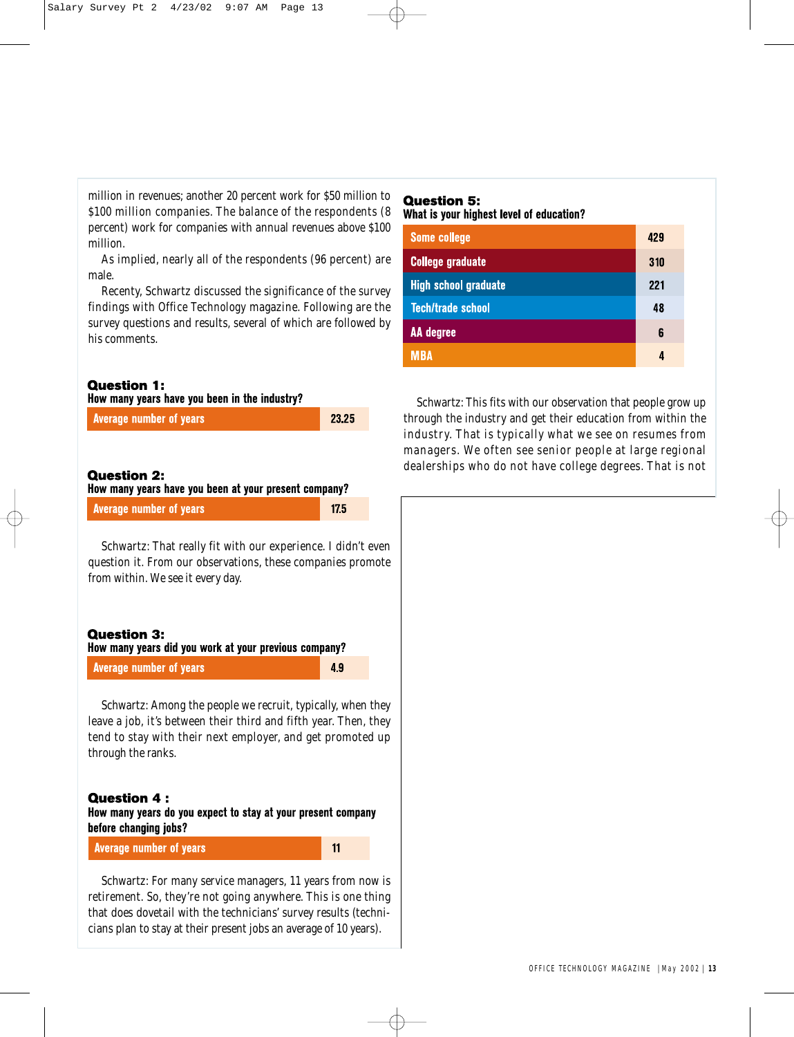million in revenues; another 20 percent work for \$50 million to \$100 million companies. The balance of the respondents (8 percent) work for companies with annual revenues above \$100 million.

As implied, nearly all of the respondents (96 percent) are male.

Recenty, Schwartz discussed the significance of the survey findings with *Office Technology* magazine. Following are the survey questions and results, several of which are followed by his comments.

#### **Question 1:**

|  |  | How many years have you been in the industry? |  |  |  |  |
|--|--|-----------------------------------------------|--|--|--|--|
|  |  |                                               |  |  |  |  |

| <b>Average number of years</b> | 23.25 |
|--------------------------------|-------|
|                                |       |

## **Question 2:**

How many years have you been at your present company?

**Average number of years** 

Schwartz: That really fit with our experience. I didn't even question it. From our observations, these companies promote from within. We see it every day.

## **Question 3:**

How many years did you work at your previous company?

**Average number of years** 

49

 $11$ 

 $175$ 

Schwartz: Among the people we recruit, typically, when they leave a job, it's between their third and fifth year. Then, they tend to stay with their next employer, and get promoted up through the ranks.

## **Question 4:**

How many years do you expect to stay at your present company before changing jobs?

#### **Average number of years**

Schwartz: For many service managers, 11 years from now is retirement. So, they're not going anywhere. This is one thing that does dovetail with the technicians' survey results (technicians plan to stay at their present jobs an average of 10 years).

## **Question 5:**

What is your highest level of education?

| Some college                | 429 |
|-----------------------------|-----|
| <b>College graduate</b>     | 310 |
| <b>High school graduate</b> | 221 |
| <b>Tech/trade school</b>    | 48  |
| AA degree                   | 6   |
| MBA                         | ı   |

Schwartz: This fits with our observation that people grow up through the industry and get their education from within the industry. That is typically what we see on resumes from managers. We often see senior people at large regional dealerships who do not have college degrees. That is not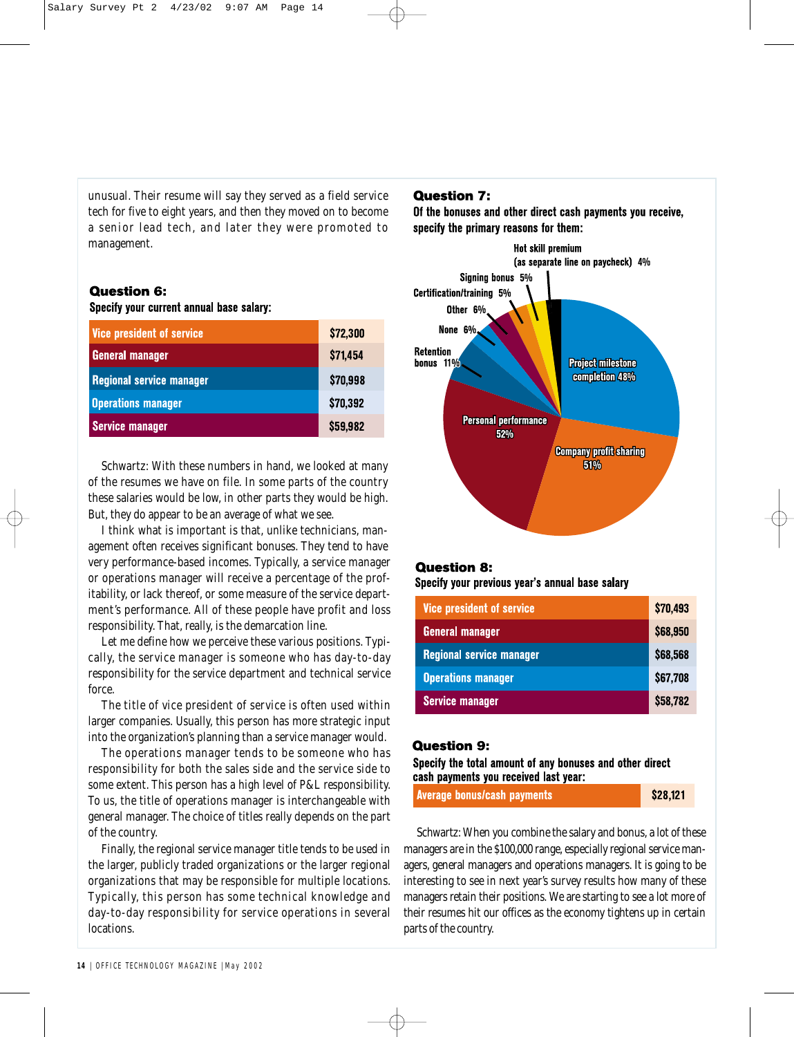unusual. Their resume will say they served as a field service tech for five to eight years, and then they moved on to become a senior lead tech, and later they were promoted to management.

### **Question 6:**

Specify your current annual base salary:

| <b>Vice president of service</b> | \$72,300 |
|----------------------------------|----------|
| <b>General manager</b>           | \$71,454 |
| <b>Regional service manager</b>  | \$70,998 |
| <b>Operations manager</b>        | \$70,392 |
| <b>Service manager</b>           | \$59,982 |

Schwartz: With these numbers in hand, we looked at many of the resumes we have on file. In some parts of the country these salaries would be low, in other parts they would be high. But, they do appear to be an average of what we see.

I think what is important is that, unlike technicians, management often receives significant bonuses. They tend to have very performance-based incomes. Typically, a service manager or operations manager will receive a percentage of the profitability, or lack thereof, or some measure of the service department's performance. All of these people have profit and loss responsibility. That, really, is the demarcation line.

Let me define how we perceive these various positions. Typically, the service manager is someone who has day-to-day responsibility for the service department and technical service force.

The title of vice president of service is often used within larger companies. Usually, this person has more strategic input into the organization's planning than a service manager would.

The operations manager tends to be someone who has responsibility for both the sales side and the service side to some extent. This person has a high level of P&L responsibility. To us, the title of operations manager is interchangeable with general manager. The choice of titles really depends on the part of the country.

Finally, the regional service manager title tends to be used in the larger, publicly traded organizations or the larger regional organizations that may be responsible for multiple locations. Typically, this person has some technical knowledge and day-to-day responsibility for service operations in several locations.

## **Question 7:**

Of the bonuses and other direct cash payments you receive, specify the primary reasons for them:



### **Question 8:**

Specify your previous year's annual base salary

| <b>Vice president of service</b> | \$70,493        |
|----------------------------------|-----------------|
| <b>General manager</b>           | \$68,950        |
| <b>Regional service manager</b>  | \$68,568        |
| <b>Operations manager</b>        | \$67,708        |
| <b>Service manager</b>           | <b>\$58,782</b> |

### **Question 9:**

Specify the total amount of any bonuses and other direct cash payments you received last year:

| Average bonus/cash payments | \$28,121 |
|-----------------------------|----------|
|-----------------------------|----------|

Schwartz: When you combine the salary and bonus, a lot of these managers are in the \$100,000 range, especially regional service managers, general managers and operations managers. It is going to be interesting to see in next year's survey results how many of these managers retain their positions. We are starting to see a lot more of their resumes hit our offices as the economy tightens up in certain parts of the country.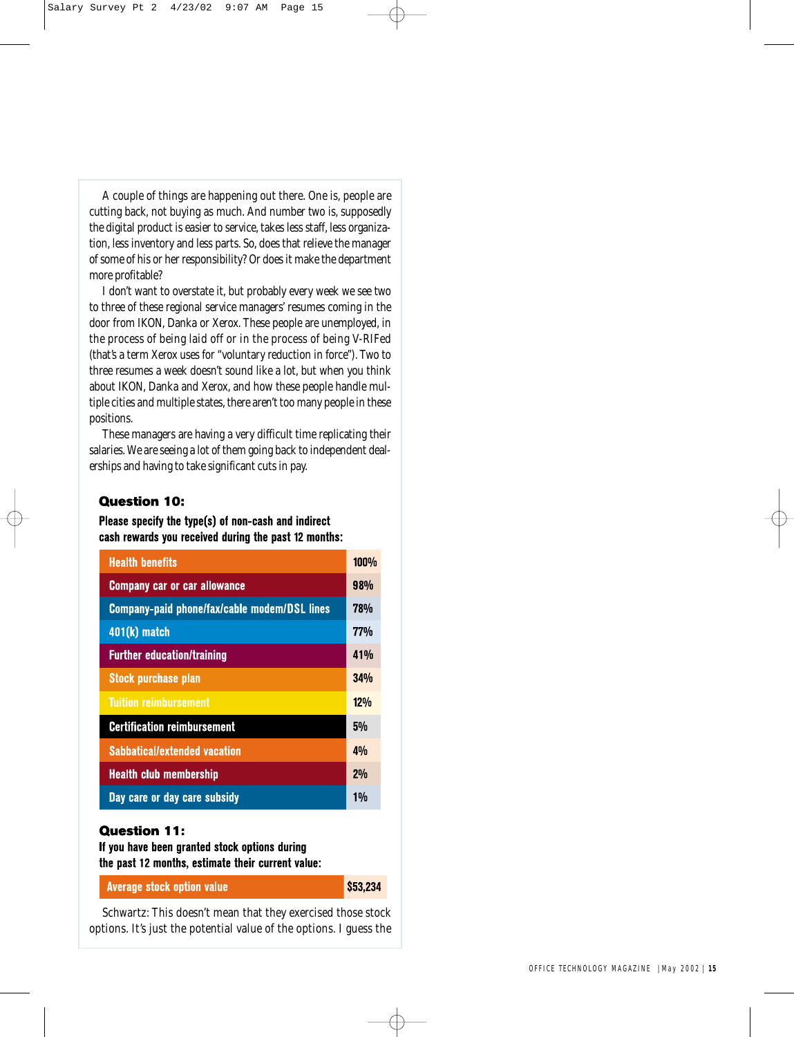A couple of things are happening out there. One is, people are cutting back, not buying as much. And number two is, supposedly the digital product is easier to service, takes less staff, less organization, less inventory and less parts. So, does that relieve the manager of some of his or her responsibility? Or does it make the department more profitable?

I don't want to overstate it, but probably every week we see two to three of these regional service managers' resumes coming in the door from IKON, Danka or Xerox. These people are unemployed, in the process of being laid off or in the process of being V-RIFed (that's a term Xerox uses for "voluntary reduction in force"). Two to three resumes a week doesn't sound like a lot, but when you think about IKON, Danka and Xerox, and how these people handle multiple cities and multiple states, there aren't too many people in these positions.

These managers are having a very difficult time replicating their salaries. We are seeing a lot of them going back to independent dealerships and having to take significant cuts in pay.

### **Question 10:**

Please specify the type(s) of non-cash and indirect cash rewards you received during the past 12 months:

| <b>Health benefits</b>                       | <b>100%</b>     |
|----------------------------------------------|-----------------|
| <b>Company car or car allowance</b>          | 98 <sub>%</sub> |
| Company-paid phone/fax/cable modem/DSL lines | 78%             |
| 401(k) match                                 | <b>77%</b>      |
| <b>Further education/training</b>            | 41%             |
| <b>Stock purchase plan</b>                   | 34%             |
| <b>Tuition reimbursement</b>                 | 12%             |
| <b>Certification reimbursement</b>           | 5%              |
| <b>Sabbatical/extended vacation</b>          | 4%              |
| <b>Health club membership</b>                | 2%              |
| Day care or day care subsidy                 | $1\%$           |

### **Question 11:**

If you have been granted stock options during the past 12 months, estimate their current value:

**Average stock option value** 

\$53,234

Schwartz: This doesn't mean that they exercised those stock options. It's just the potential value of the options. I guess the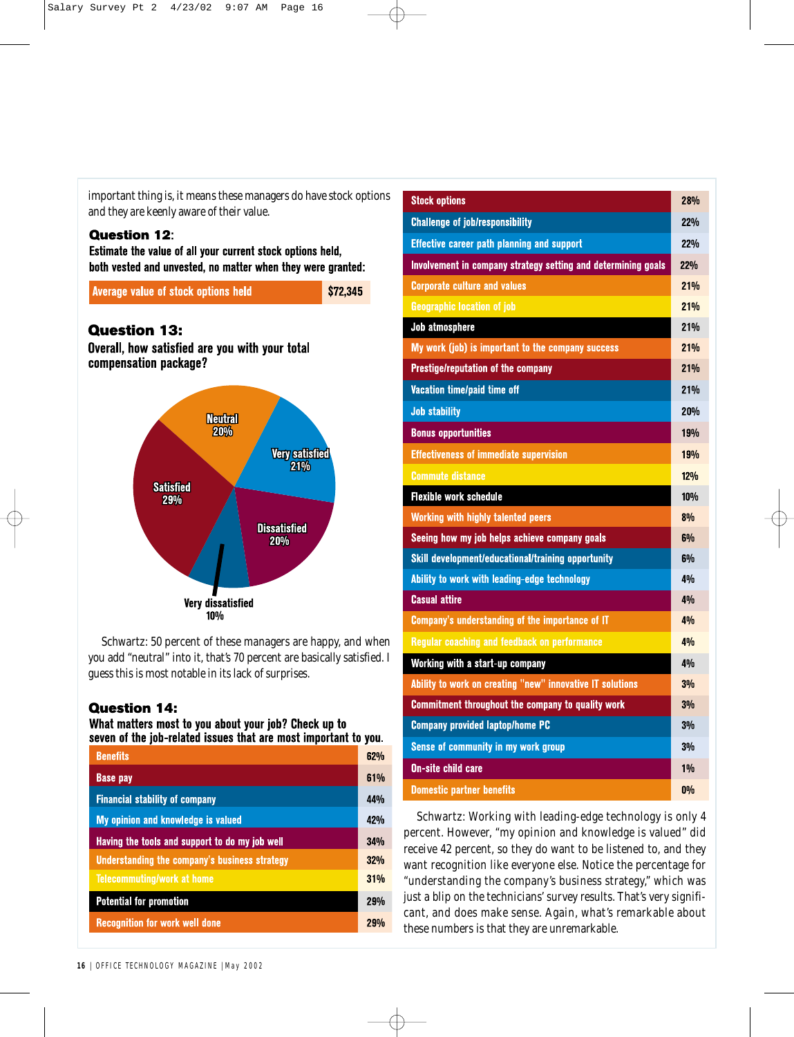important thing is, it means these managers do have stock options and they are keenly aware of their value.

## **Question 12:**

Estimate the value of all your current stock options held, both vested and unvested, no matter when they were granted:

Average value of stock options held

\$72,345

# **Question 13:**

Overall, how satisfied are you with your total compensation package?



Schwartz: 50 percent of these managers are happy, and when you add "neutral" into it, that's 70 percent are basically satisfied. I guess this is most notable in its lack of surprises.

## **Question 14:**

What matters most to you about your job? Check up to seven of the job-related issues that are most important to you.

| <b>Benefits</b>                                | 62% |
|------------------------------------------------|-----|
| <b>Base pay</b>                                | 61% |
| <b>Financial stability of company</b>          | 44% |
| <b>My opinion and knowledge is valued</b>      | 42% |
| Having the tools and support to do my job well | 34% |
| Understanding the company's business strategy  | 32% |
| <b>Telecommuting/work at home</b>              | 31% |
| <b>Potential for promotion</b>                 | 29% |
| <b>Recognition for work well done</b>          | 29% |

| <b>Stock options</b>                                          | 28%             |
|---------------------------------------------------------------|-----------------|
| <b>Challenge of job/responsibility</b>                        | 22%             |
| <b>Effective career path planning and support</b>             | 22%             |
| Involvement in company strategy setting and determining goals | 22%             |
| <b>Corporate culture and values</b>                           | 21%             |
| <b>Geographic location of job</b>                             | 21%             |
| Job atmosphere                                                | 21%             |
| My work (job) is important to the company success             | 21%             |
| <b>Prestige/reputation of the company</b>                     | 21%             |
| Vacation time/paid time off                                   | 21%             |
| <b>Job stability</b>                                          | <b>20%</b>      |
| <b>Bonus opportunities</b>                                    | <b>19%</b>      |
| <b>Effectiveness of immediate supervision</b>                 | <b>19%</b>      |
| <b>Commute distance</b>                                       | 120/1           |
| <b>Flexible work schedule</b>                                 | 10%             |
| <b>Working with highly talented peers</b>                     | 8%              |
| Seeing how my job helps achieve company goals                 | 6%              |
| Skill development/educational/training opportunity            | 6%              |
| Ability to work with leading-edge technology                  | 40 <sub>0</sub> |
| <b>Casual attire</b>                                          | 4%              |
| Company's understanding of the importance of IT               | 4%              |
| Regular coaching and feedback on performance                  | 4%              |
| Working with a start-up company                               | 4%              |
| Ability to work on creating "new" innovative IT solutions     | 3%              |
| Commitment throughout the company to quality work             | 3%              |
| <b>Company provided laptop/home PC</b>                        | 3%              |
| Sense of community in my work group                           | 3%              |
| <b>On-site child care</b>                                     | $1\%$           |
| <b>Domestic nartner henefits</b>                              | 10/2            |

Schwartz: Working with leading-edge technology is only 4 percent. However, "my opinion and knowledge is valued" did receive 42 percent, so they do want to be listened to, and they want recognition like everyone else. Notice the percentage for "understanding the company's business strategy," which was just a blip on the technicians' survey results. That's very significant, and does make sense. Again, what's remarkable about these numbers is that they are unremarkable.